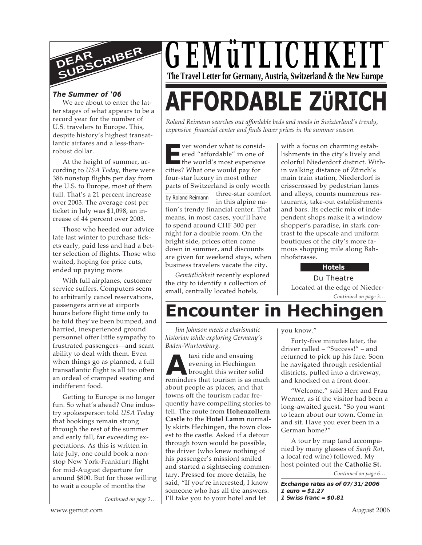

#### *The Summer of '06*

We are about to enter the latter stages of what appears to be a record year for the number of U.S. travelers to Europe. This, despite history's highest transatlantic airfares and a less-thanrobust dollar.

At the height of summer, according to *USA Today,* there were 386 nonstop flights per day from the U.S. to Europe, most of them full. That's a 21 percent increase over 2003. The average cost per ticket in July was \$1,098, an increase of 44 percent over 2003.

Those who heeded our advice late last winter to purchase tickets early, paid less and had a better selection of flights. Those who waited, hoping for price cuts, ended up paying more.

With full airplanes, customer service suffers. Computers seem to arbitrarily cancel reservations, passengers arrive at airports hours before flight time only to be told they've been bumped, and harried, inexperienced ground personnel offer little sympathy to frustrated passengers—and scant ability to deal with them. Even when things go as planned, a full transatlantic flight is all too often an ordeal of cramped seating and indifferent food.

Getting to Europe is no longer fun. So what's ahead? One industry spokesperson told *USA Today* that bookings remain strong through the rest of the summer and early fall, far exceeding expectations. As this is written in late July, one could book a nonstop New York-Frankfurt flight for mid-August departure for around \$800. But for those willing to wait a couple of months the

*Continued on page 2…*

# *GEMüTLICHKEIT* **The Travel Letter for Germany, Austria, Switzerland & the New Europe**

# **AFFORDABLE ZÜRIC**

*Roland Reimann searches out affordable beds and meals in Swizterland's trendy, expensive financial center and finds lower prices in the summer season.*

**EXECUTE:** Yer wonder what is considered "affordable" in one of<br>the world's most expensive<br>cities? What one would nay for ver wonder what is considered "affordable" in one of cities? What one would pay for four-star luxury in most other parts of Switzerland is only worth

by Roland Reimann three-star comfort in this alpine nation's trendy financial center. That means, in most cases, you'll have to spend around CHF 300 per night for a double room. On the bright side, prices often come down in summer, and discounts are given for weekend stays, when business travelers vacate the city.

*Gemütlichkeit* recently explored the city to identify a collection of small, centrally located hotels,

with a focus on charming establishments in the city's lively and colorful Niederdorf district. Within walking distance of Zürich's main train station, Niederdorf is crisscrossed by pedestrian lanes and alleys, counts numerous restaurants, take-out establishments and bars. Its eclectic mix of independent shops make it a window shopper's paradise, in stark contrast to the upscale and uniform boutiques of the city's more famous shopping mile along Bahnhofstrasse.

**Hotels**

*Continued on page 3…* Du Theatre Located at the edge of Nieder-

# **Encounter in Hechingen**

*Jim Johnson meets a charismatic historian while exploring Germany's Baden-Wurtemburg.*

taxi ride and ensuing evening in Hechingen brought this writer solid reminders that tourism is as much **A**about people as places, and that towns off the tourism radar frequently have compelling stories to tell. The route from **Hohenzollern Castle** to the **Hotel Lamm** normally skirts Hechingen, the town closest to the castle. Asked if a detour through town would be possible, the driver (who knew nothing of his passenger's mission) smiled and started a sightseeing commentary. Pressed for more details, he said, "If you're interested, I know someone who has all the answers. I'll take you to your hotel and let

you know."

Forty-five minutes later, the driver called – "Success!" – and returned to pick up his fare. Soon he navigated through residential districts, pulled into a driveway, and knocked on a front door.

"Welcome," said Herr and Frau Werner, as if the visitor had been a long-awaited guest. "So you want to learn about our town. Come in and sit. Have you ever been in a German home?"

A tour by map (and accompanied by many glasses of *Sanft Rot*, a local red wine) followed. My host pointed out the **Catholic St.**

*Continued on page 6…*

**Exchange rates as of 07/31/2006 1 euro = \$1.27 1 Swiss franc = \$0.81**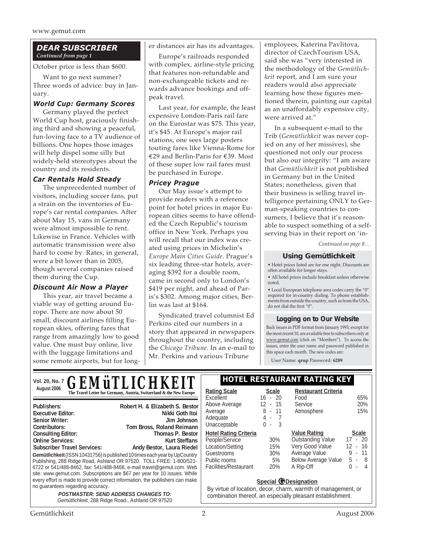#### *DEAR SUBSCRIBER Continued from page 1*

October price is less than \$600.

Want to go next summer? Three words of advice: buy in January.

#### *World Cup: Germany Scores*

Germany played the perfect World Cup host, graciously finishing third and showing a peaceful, fun-loving face to a TV audience of billions. One hopes those images will help dispel some silly but widely-held stereotypes about the country and its residents.

#### *Car Rentals Hold Steady*

The unprecedented number of visitors, including soccer fans, put a strain on the inventories of Europe's car rental companies. After about May 15, vans in Germany were almost impossible to rent. Likewise in France. Vehicles with automatic transmission were also hard to come by. Rates, in general, were a bit lower than in 2005, though several companies raised them during the Cup.

#### *Discount Air Now a Player*

This year, air travel became a viable way of getting around Europe. There are now about 50 small, discount airlines filling European skies, offering fares that range from amazingly low to good value. One must buy online, live with the luggage limitations and some remote airports, but for longer distances air has its advantages.

Europe's railroads responded with complex, airline-style pricing that features non-refundable and non-exchangeable tickets and rewards advance bookings and offpeak travel.

Last year, for example, the least expensive London-Paris rail fare on the Eurostar was \$75. This year, it's \$45. At Europe's major rail stations, one sees large posters touting fares like Vienna-Rome for €29 and Berlin-Paris for €39. Most of these super low rail fares must be purchased in Europe.

#### *Pricey Prague*

Our May issue's attempt to provide readers with a reference point for hotel prices in major European cities seems to have offended the Czech Republic's tourism office in New York. Perhaps you will recall that our index was created using prices in Michelin's *Europe Main Cities Guide*. Prague's six leading three-star hotels, averaging \$392 for a double room, came in second only to London's \$419 per night, and ahead of Paris's \$302. Among major cities, Berlin was last at \$164.

Syndicated travel columnist Ed Perkins cited our numbers in a story that appeared in newspapers throughout the country, including the *Chicago Tribune.* In an e-mail to Mr. Perkins and various Tribune

employees, Katerina Pavlitova, director of CzechTourism USA, said she was "very interested in the methodology of the *Gemütlichkeit* report, and I am sure your readers would also appreciate learning how these figures mentioned therein, painting our capital as an unaffordably expensive city, were arrived at."

In a subsequent e-mail to the Trib (*Gemütlichkeit* was never copied on any of her missives), she questioned not only our process but also our integrity: "I am aware that *Gemütlichkeit* is not published in Germany but in the United States; nonetheless, given that their business is selling travel intelligence pertaining ONLY to German-speaking countries to consumers, I believe that it's reasonable to suspect something of a selfserving bias in their report on 'in-

*Continued on page 8…*

#### **Using Gemütlichkeit**

• Hotel prices listed are for one night. Discounts are often available for longer stays.

• All hotel prices include breakfast unless otherwise noted.

• Local European telephone area codes carry the "0" required for in-country dialing. To phone establishments from outside the country, such as from the USA, do not dial the first "0".

#### **Logging on to Our Website**

Back issues in PDF format from January 1993, except for the most recent 10, are available free to subscribers only at www.gemut.com (click on "Members"). To access the issues, enter the user name and password published in this space each month. The new codes are:

User Name: **qrup** Password: **6289**

**Gemütlichkeit** (ISSN 10431756) is published 10 times each year by UpCountry Publishing, 288 Ridge Road, Ashland OR 97520. TOLL FREE: 1-800/521- 6722 or 541/488-8462, fax: 541/488-8468, e-mail travel@gemut.com. Web site: www.gemut.com. Subscriptions are \$67 per year for 10 issues. While every effort is made to provide correct information, the publishers can make no guarantees regarding accuracy. **POSTMASTER: SEND ADDRESS CHANGES TO:** Gemütlichkeit, 288 Ridge Road., Ashland OR 97520 **Publishers:** Robert H. & Elizabeth S. Bestor **Publishers: Robert H. & Elizabeth S. Bestor Executive Editor:** Nikki Goth Itoi Senior Writer: **Doug Linton, C. Fischer, A. Holling, A. Holling, J. Holling, A. Holling, A. Holling, A. Holling, A. Holling, A. Holling, A. Holling, A. Holling, A. Holling, A. Holling, A. Holling, A. Holling, A. Holling, A** Contributors: Tom Bross, Roland Reimann **Consulting Editor:** Thomas P. Bestor **Online Services:** Kurt Steffans Subscriber Travel Services: Andy Bestor, Laura Riedel Vol. 20, No. 7 **C EMITT IC HIVEIT HOTEL RESTAURANT RATING KEY** August 2006 **Rational Concept 2006 Rating Scale Rating Scale Rating Scale Scale Scale** Excellent 16 - 20 Above Average 12 - 15 Average 8 - 11 Adequate 4 - 7 Unacceptable 0 - 3 **Hotel Rating Criteria** People/Service 30% Location/Setting 15% Guestrooms 30% Public rooms 5% Facilities/Restaurant 20% **Restaurant Criteria** Food 65% Service 20% Atmosphere 15% **Value Rating Scale** Outstanding Value 17 - 20 Very Good Value 12 - 16<br>Average Value 9 - 11 Average Value Below Average Value 5 - 8 A Rip-Off 0 - 4 *GEMüTLICHKEIT* **Special @Designation** By virtue of location, decor, charm, warmth of management, or combination thereof, an especially pleasant establishment.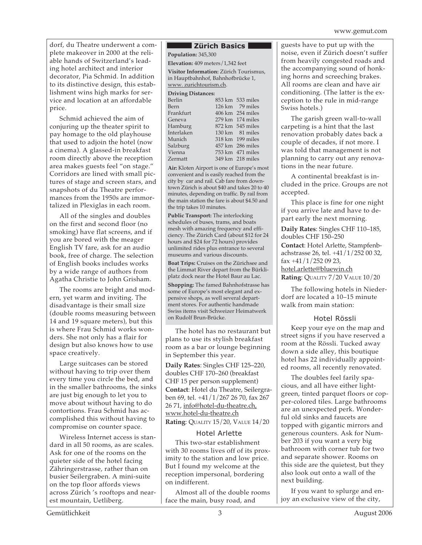dorf, du Theatre underwent a complete makeover in 2000 at the reliable hands of Switzerland's leading hotel architect and interior decorator, Pia Schmid. In addition to its distinctive design, this establishment wins high marks for service and location at an affordable price.

Schmid achieved the aim of conjuring up the theater spirit to pay homage to the old playhouse that used to adjoin the hotel (now a cinema). A glassed-in breakfast room directly above the reception area makes guests feel "on stage." Corridors are lined with small pictures of stage and screen stars, and snapshots of du Theatre performances from the 1950s are immortalized in Plexiglas in each room.

All of the singles and doubles on the first and second floor (no smoking) have flat screens, and if you are bored with the meager English TV fare, ask for an audio book, free of charge. The selection of English books includes works by a wide range of authors from Agatha Christie to John Grisham.

The rooms are bright and modern, yet warm and inviting. The disadvantage is their small size (double rooms measuring between 14 and 19 square meters), but this is where Frau Schmid works wonders. She not only has a flair for design but also knows how to use space creatively.

Large suitcases can be stored without having to trip over them every time you circle the bed, and in the smaller bathrooms, the sinks are just big enough to let you to move about without having to do contortions. Frau Schmid has accomplished this without having to compromise on counter space.

Wireless Internet access is standard in all 50 rooms, as are scales. Ask for one of the rooms on the quieter side of the hotel facing Zähringerstrasse, rather than on busier Seilergraben. A mini-suite on the top floor affords views across Zürich 's rooftops and nearest mountain, Uetliberg.

#### **Zürich Basics**

**Population:** 345,300 **Elevation:** 409 meters/1,342 feet

**Visitor Information:** Zürich Tourismus, in Hauptbahnhof, Bahnhofbrücke 1, www. zurichtourism.ch.

#### **Driving Distances:**

| Berlin      | 853 km 533 miles           |
|-------------|----------------------------|
| <b>Bern</b> | 126 km 79 miles            |
| Frankfurt   | 406 km 254 miles           |
| Geneva      | $279 \text{ km}$ 174 miles |
| Hamburg     | 872 km 545 miles           |
| Interlaken  | 130 km 81 miles            |
| Munich      | 318 km 199 miles           |
| Salzburg    | 457 km 286 miles           |
| Vienna      | 753 km 471 miles           |
| Zermatt     | 349 km 218 miles           |

**Air:** Kloten Airport is one of Europe's most convenient and is easily reached from the city by car and rail. Cab fare from downtown Zürich is about \$40 and takes 20 to 40 minutes, depending on traffic. By rail from the main station the fare is about \$4.50 and the trip takes 10 minutes.

**Public Transport:** The interlocking schedules of buses, trams, and boats mesh with amazing frequency and efficiency. The Zürich Card (about \$12 for 24 hours and \$24 for 72 hours) provides unlimited rides plus entrance to several museums and various discounts.

**Boat Trips:** Cruises on the Zürichsee and the Limmat River depart from the Bürkliplatz dock near the Hotel Baur au Lac.

**Shopping:** The famed Bahnhofstrasse has some of Europe's most elegant and expensive shops, as well several department stores. For authentic handmade Swiss items visit Schweizer Heimatwerk on Rudolf Brun-Brücke.

The hotel has no restaurant but plans to use its stylish breakfast room as a bar or lounge beginning in September this year.

**Daily Rates**: Singles CHF 125–220, doubles CHF 170–260 (breakfast CHF 15 per person supplement) **Contact**: Hotel du Theatre, Seilergraben 69, tel. +41/1/267 26 70, fax 267 26 71, info@hotel-du-theatre.ch, www.hotel-du-theatre.ch **Rating**: QUALITY 15/20, VALUE 14/20

#### Hotel Arlette

This two-star establishment with 30 rooms lives off of its proximity to the station and low price. But I found my welcome at the reception impersonal, bordering on indifferent.

Almost all of the double rooms face the main, busy road, and

guests have to put up with the noise, even if Zürich doesn't suffer from heavily congested roads and the accompanying sound of honking horns and screeching brakes. All rooms are clean and have air conditioning. (The latter is the exception to the rule in mid-range Swiss hotels.)

The garish green wall-to-wall carpeting is a hint that the last renovation probably dates back a couple of decades, if not more. I was told that management is not planning to carry out any renovations in the near future.

A continental breakfast is included in the price. Groups are not accepted.

This place is fine for one night if you arrive late and have to depart early the next morning.

**Daily Rates**: Singles CHF 110–185, doubles CHF 150–250 **Contact**: Hotel Arlette, Stampfenbachstrasse 26, tel. +41/1/252 00 32, fax +41/1/252 09 23, hotel.arlette@bluewin.ch **Rating**: QUALITY 7/20 VALUE 10/20

The following hotels in Niederdorf are located a 10–15 minute walk from main station:

#### Hotel Rössli

Keep your eye on the map and street signs if you have reserved a room at the Rössli. Tucked away down a side alley, this boutique hotel has 22 individually appointed rooms, all recently renovated.

The doubles feel farily spacious, and all have either lightgreen, tinted parquet floors or copper-colored tiles. Large bathrooms are an unexpected perk. Wonderful old sinks and faucets are topped with gigantic mirrors and generous counters. Ask for Number 203 if you want a very big bathroom with corner tub for two and separate shower. Rooms on this side are the quietest, but they also look out onto a wall of the next building.

If you want to splurge and enjoy an exclusive view of the city,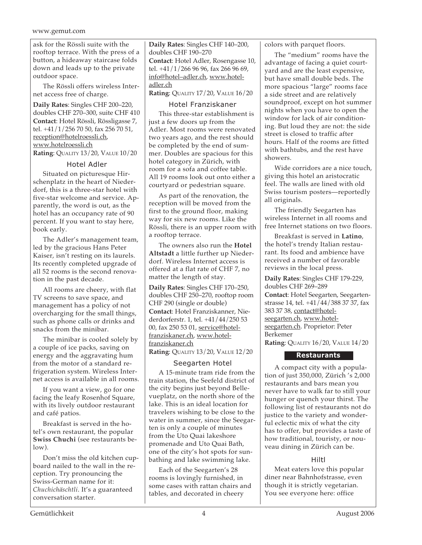ask for the Rössli suite with the rooftop terrace. With the press of a button, a hideaway staircase folds down and leads up to the private outdoor space.

The Rössli offers wireless Internet access free of charge.

**Daily Rates**: Singles CHF 200–220, doubles CHF 270–300, suite CHF 410 **Contact**: Hotel Rössli, Rössligasse 7, tel. +41/1/256 70 50, fax 256 70 51, reception@hotelroessli.ch, www.hotelroessli.ch **Rating**: QUALITY 13/20, VALUE 10/20

#### Hotel Adler

Situated on picturesque Hirschenplatz in the heart of Niederdorf, this is a three-star hotel with five-star welcome and service. Apparently, the word is out, as the hotel has an occupancy rate of 90 percent. If you want to stay here, book early.

The Adler's management team, led by the gracious Hans Peter Kaiser, isn't resting on its laurels. Its recently completed upgrade of all 52 rooms is the second renovation in the past decade.

All rooms are cheery, with flat TV screens to save space, and management has a policy of not overcharging for the small things, such as phone calls or drinks and snacks from the minibar.

The minibar is cooled solely by a couple of ice packs, saving on energy and the aggravating hum from the motor of a standard refrigeration system. Wireless Internet access is available in all rooms.

If you want a view, go for one facing the leafy Rosenhof Square, with its lively outdoor restaurant and café patios.

Breakfast is served in the hotel's own restaurant, the popular **Swiss Chuchi** (see restaurants below).

Don't miss the old kitchen cupboard nailed to the wall in the reception. Try pronouncing the Swiss-German name for it: *Chuchichäschtli*. It's a guaranteed conversation starter.

**Daily Rates**: Singles CHF 140–200, doubles CHF 190–270 **Contact**: Hotel Adler, Rosengasse 10, tel. +41/1/266 96 96, fax 266 96 69, info@hotel–adler.ch, www.hoteladler.ch

**Rating**: QUALITY 17/20, VALUE 16/20

#### Hotel Franziskaner

This three-star establishment is just a few doors up from the Adler. Most rooms were renovated two years ago, and the rest should be completed by the end of summer. Doubles are spacious for this hotel category in Zürich, with room for a sofa and coffee table. All 19 rooms look out onto either a courtyard or pedestrian square.

As part of the renovation, the reception will be moved from the first to the ground floor, making way for six new rooms. Like the Rössli, there is an upper room with a rooftop terrace.

The owners also run the **Hotel Altstadt** a little further up Niederdorf. Wireless Internet access is offered at a flat rate of CHF 7, no matter the length of stay.

**Daily Rates**: Singles CHF 170–250, doubles CHF 250–270, rooftop room CHF 290 (single or double) **Contact**: Hotel Franziskanner, Niederdorferstr. 1, tel. +41/44/250 53 00, fax 250 53 01, service@hotelfranziskaner.ch, www.hotelfranziskaner.ch

**Rating**: QUALITY 13/20, VALUE 12/20

Seegarten Hotel A 15-minute tram ride from the train station, the Seefeld district of the city begins just beyond Bellevueplatz, on the north shore of the lake. This is an ideal location for travelers wishing to be close to the water in summer, since the Seegarten is only a couple of minutes from the Uto Quai lakeshore promenade and Uto Quai Bath, one of the city's hot spots for sunbathing and lake swimming lake.

Each of the Seegarten's 28 rooms is lovingly furnished, in some cases with rattan chairs and tables, and decorated in cheery

colors with parquet floors.

The "medium" rooms have the advantage of facing a quiet courtyard and are the least expensive, but have small double beds. The more spacious "large" rooms face a side street and are relatively soundproof, except on hot summer nights when you have to open the window for lack of air conditioning. But loud they are not: the side street is closed to traffic after hours. Half of the rooms are fitted with bathtubs, and the rest have showers.

Wide corridors are a nice touch, giving this hotel an aristocratic feel. The walls are lined with old Swiss tourism posters—reportedly all originals.

The friendly Seegarten has wireless Internet in all rooms and free Internet stations on two floors.

Breakfast is served in **Latino**, the hotel's trendy Italian restaurant. Its food and ambience have received a number of favorable reviews in the local press.

**Daily Rates**: Singles CHF 179-229, doubles CHF 269–289 **Contact**: Hotel Seegarten, Seegartenstrasse 14, tel. +41/44/388 37 37, fax 383 37 38, contact@hotelseegarten.ch, www.hotelseegarten.ch. Proprietor: Peter Berkemer **Rating**: QUALITY 16/20, VALUE 14/20

#### **Restaurants**

A compact city with a population of just 350,000, Zürich 's 2,000 restaurants and bars mean you never have to walk far to still your hunger or quench your thirst. The following list of restaurants not do justice to the variety and wonderful eclectic mix of what the city has to offer, but provides a taste of how traditional, touristy, or nouveau dining in Zürich can be.

#### Hiltl

Meat eaters love this popular diner near Bahnhofstrasse, even though it is strictly vegetarian. You see everyone here: office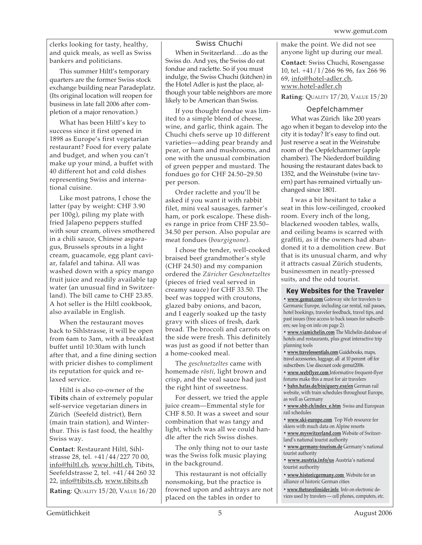clerks looking for tasty, healthy, and quick meals, as well as Swiss bankers and politicians.

This summer Hiltl's temporary quarters are the former Swiss stock exchange building near Paradeplatz. (Its original location will reopen for business in late fall 2006 after completion of a major renovation.)

What has been Hiltl's key to success since it first opened in 1898 as Europe's first vegetarian restaurant? Food for every palate and budget, and when you can't make up your mind, a buffet with 40 different hot and cold dishes representing Swiss and international cuisine.

Like most patrons, I chose the latter (pay by weight: CHF 3.90 per 100g), piling my plate with fried Jalapeno peppers stuffed with sour cream, olives smothered in a chili sauce, Chinese asparagus, Brussels sprouts in a light cream, guacamole, egg plant caviar, falafel and tahina. All was washed down with a spicy mango fruit juice and readily available tap water (an unusual find in Switzerland). The bill came to CHF 23.85. A hot seller is the Hiltl cookbook, also available in English.

When the restaurant moves back to Sihlstrasse, it will be open from 6am to 3am, with a breakfast buffet until 10:30am with lunch after that, and a fine dining section with pricier dishes to compliment its reputation for quick and relaxed service.

Hiltl is also co-owner of the **Tibits** chain of extremely popular self-service vegetarian diners in Zürich (Seefeld district), Bern (main train station), and Winterthur. This is fast food, the healthy Swiss way.

**Contact**: Restaurant Hiltl, Sihlstrasse 28, tel. +41/44/227 70 00, info@hiltl.ch, www.hiltl.ch, Tibits, Seefeldstrasse 2, tel. +41/44 260 32 22, info@tibits.ch, www.tibits.ch

**Rating**: QUALITY 15/20, VALUE 16/20

#### Swiss Chuchi

When in Switzerland….do as the Swiss do. And yes, the Swiss do eat fondue and raclette. So if you must indulge, the Swiss Chuchi (kitchen) in the Hotel Adler is just the place, although your table neighbors are more likely to be American than Swiss.

If you thought fondue was limited to a simple blend of cheese, wine, and garlic, think again. The Chuchi chefs serve up 10 different varieties—adding pear brandy and pear, or ham and mushrooms, and one with the unusual combination of green pepper and mustard. The fondues go for CHF 24.50–29.50 per person.

Order raclette and you'll be asked if you want it with rabbit filet, mini veal sausages, farmer's ham, or pork escalope. These dishes range in price from CHF 23.50– 34.50 per person. Also popular are meat fondues (*bourgignone*).

I chose the tender, well-cooked braised beef grandmother's style (CHF 24.50) and my companion ordered the *Züricher Geschnetzeltes* (pieces of fried veal served in creamy sauce) for CHF 33.50. The beef was topped with croutons, glazed baby onions, and bacon, and I eagerly soaked up the tasty gravy with slices of fresh, dark bread. The broccoli and carrots on the side were fresh. This definitely was just as good if not better than a home-cooked meal.

The *geschnetzeltes* came with homemade *rösti,* light brown and crisp, and the veal sauce had just the right hint of sweetness.

For dessert, we tried the apple juice cream—Emmental style for CHF 8.50. It was a sweet and sour combination that was tangy and light, which was all we could handle after the rich Swiss dishes.

The only thing not to our taste was the Swiss folk music playing in the background.

This restaurant is not offcially nonsmoking, but the practice is frowned upon and ashtrays are not placed on the tables in order to

make the point. We did not see anyone light up during our meal.

**Contact**: Swiss Chuchi, Rosengasse 10, tel. +41/1/266 96 96, fax 266 96 69, info@hotel-adler.ch, www.hotel-adler.ch

**Rating**: QUALITY 17/20, VALUE 15/20

#### Oepfelchammer

What was Zürich like 200 years ago when it began to develop into the city it is today? It's easy to find out. Just reserve a seat in the Weinstube room of the Oepfelchammer (apple chamber). The Niederdorf building housing the restaurant dates back to 1352, and the Weinstube (wine tavern) part has remained virtually unchanged since 1801.

I was a bit hesitant to take a seat in this low-ceilinged, crooked room. Every inch of the long, blackened wooden tables, walls, and ceiling beams is scarred with graffiti, as if the owners had abandoned it to a demolition crew. But that is its unusual charm, and why it attracts casual Zürich students, businessmen in neatly-pressed suits, and the odd tourist.

#### **Key Websites for the Traveler**

**• www.gemut.com** Gateway site for travelers to Germanic Europe, including car rental, rail passes, hotel bookings, traveler feedback, travel tips, and past issues (free access to back issues for subscribers; see log-on info on page 2).

**• www.viamichelin.com** The Michelin database of hotels and restaurants, plus great interactive trip planning tools

**• www.travelessentials.com** Guidebooks, maps, travel accessories, luggage, all at 10 percent off for subscribers. Use discount code gemut2006.

**• www.webflyer.com** Informative frequent-flyer forums make this a must for air travelers

**• bahn.hafas.de/bin/query.exe/en** German rail website, with train schedules throughout Europe, as well as Germany

**• www.sbb.ch/index\_e.htm** Swiss and European rail schedules

**• www.ski-europe.com** Top Web resource for skiers with much data on Alpine resorts

**• www.myswitzerland.com** Website of Switzerland's national tourist authority

**• www.germany-tourism.de** Germany's national tourist authority

**• www.austria.info/us** Austria's national tourist authority

**• www.historicgermany.com** Website for an alliance of historic German cities

**• www.thetravelinsider.info** Info on electronic devices used by travelers — cell phones, computers, etc.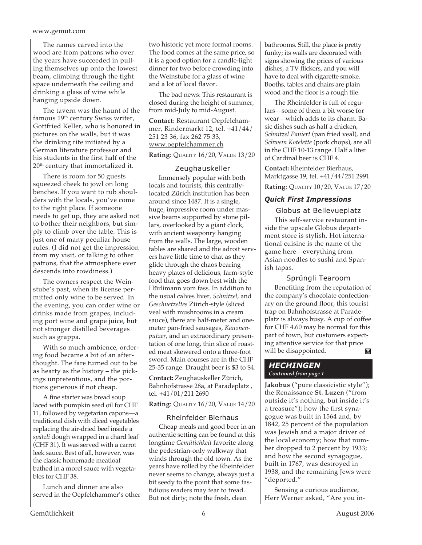#### www.gemut.com

The names carved into the wood are from patrons who over the years have succeeded in pulling themselves up onto the lowest beam, climbing through the tight space underneath the ceiling and drinking a glass of wine while hanging upside down.

The tavern was the haunt of the famous 19th century Swiss writer, Gottfried Keller, who is honored in pictures on the walls, but it was the drinking rite initiated by a German literature professor and his students in the first half of the 20<sup>th</sup> century that immortalized it.

There is room for 50 guests squeezed cheek to jowl on long benches. If you want to rub shoulders with the locals, you've come to the right place. If someone needs to get up, they are asked not to bother their neighbors, but simply to climb over the table. This is just one of many peculiar house rules. (I did not get the impression from my visit, or talking to other patrons, that the atmosphere ever descends into rowdiness.)

The owners respect the Weinstube's past, when its license permitted only wine to be served. In the evening, you can order wine or drinks made from grapes, including port wine and grape juice, but not stronger distilled beverages such as grappa.

With so much ambience, ordering food became a bit of an afterthought. The fare turned out to be as hearty as the history – the pickings unpretentious, and the portions generous if not cheap.

A fine starter was bread soup laced with pumpkin seed oil for CHF 11, followed by vegetarian capons—a traditional dish with diced vegetables replacing the air-dried beef inside a *spätzli* dough wrapped in a chard leaf (CHF 31). It was served with a carrot leek sauce. Best of all, however, was the classic homemade meatloaf bathed in a morel sauce with vegetables for CHF 38.

Lunch and dinner are also served in the Oepfelchammer's other

two historic yet more formal rooms. The food comes at the same price, so it is a good option for a candle-light dinner for two before crowding into the Weinstube for a glass of wine and a lot of local flavor.

The bad news: This restaurant is closed during the height of summer, from mid-July to mid-August.

**Contact**: Restaurant Oepfelchammer, Rindermarkt 12, tel. +41/44/ 251 23 36, fax 262 75 33, www.oepfelchammer.ch

**Rating**: QUALITY 16/20, VALUE 13/20

#### Zeughauskeller

Immensely popular with both locals and tourists, this centrallylocated Zürich institution has been around since 1487. It is a single, huge, impressive room under massive beams supported by stone pillars, overlooked by a giant clock, with ancient weaponry hanging from the walls. The large, wooden tables are shared and the adroit servers have little time to chat as they glide through the chaos bearing heavy plates of delicious, farm-style food that goes down best with the Hürlimann vom fass. In addition to the usual calves liver, *Schnitzel*, and *Geschnetzeltes* Zürich-style (sliced veal with mushrooms in a cream sauce), there are half-meter and onemeter pan-fried sausages, *Kanonenputzer*, and an extraordinary presentation of one long, thin slice of roasted meat skewered onto a three-foot sword. Main courses are in the CHF 25-35 range. Draught beer is \$3 to \$4.

**Contact:** Zeughauskeller Zürich, Bahnhofstrasse 28a, at Paradeplatz , tel. +41/01/211 2690

**Rating**: QUALITY 16/20, VALUE 14/20

#### Rheinfelder Bierhaus

Cheap meals and good beer in an authentic setting can be found at this longtime *Gemütichkeit* favorite along the pedestrian-only walkway that winds through the old town. As the years have rolled by the Rheinfelder never seems to change, always just a bit seedy to the point that some fastidious readers may fear to tread. But not dirty; note the fresh, clean

bathrooms. Still, the place is pretty funky; its walls are decorated with signs showing the prices of various dishes, a TV flickers, and you will have to deal with cigarette smoke. Booths, tables and chairs are plain wood and the floor is a rough tile.

The Rheinfelder is full of regulars—some of them a bit worse for wear—which adds to its charm. Basic dishes such as half a chicken, *Schnitzel Paniert* (pan fried veal), and *Schwein Kotelette* (pork chops), are all in the CHF 10-13 range. Half a liter of Cardinal beer is CHF 4.

**Contact:** Rheinfelder Bierhaus, Marktgasse 19, tel. +41/44/251 2991 **Rating**: QUALITY 10/20, VALUE 17/20

#### *Quick First Impressions*

Globus at Bellevueplatz

This self-service restaurant inside the upscale Globus department store is stylish. Hot international cuisine is the name of the game here—everything from Asian noodles to sushi and Spanish tapas.

#### Sprüngli Tearoom

Benefiting from the reputation of the company's chocolate confectionary on the ground floor, this tourist trap on Bahnhofstrasse at Paradeplatz is always busy. A cup of coffee for CHF 4.60 may be normal for this part of town, but customers expecting attentive service for that price will be disappointed. $\overline{\mathbf{M}}$ 

#### *HECHINGEN Continued from page 1*

**Jakobus** ("pure classicistic style"); the Renaissance **St. Luzen** ("from outside it's nothing, but inside it's a treasure"); how the first synagogue was built in 1564 and, by 1842, 25 percent of the population was Jewish and a major driver of the local economy; how that number dropped to 2 percent by 1933; and how the second synagogue, built in 1767, was destroyed in 1938, and the remaining Jews were "deported."

Sensing a curious audience, Herr Werner asked, "Are you in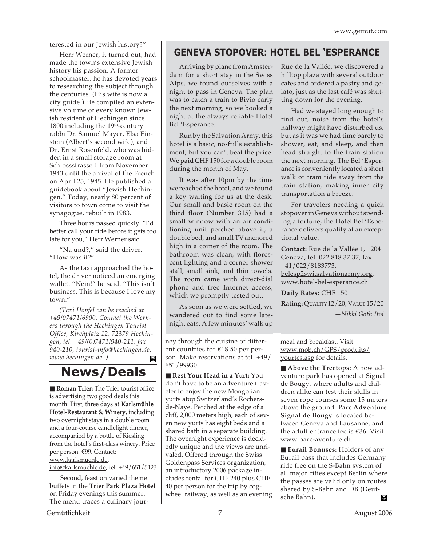terested in our Jewish history?"

Herr Werner, it turned out, had made the town's extensive Jewish history his passion. A former schoolmaster, he has devoted years to researching the subject through the centuries. (His wife is now a city guide.) He compiled an extensive volume of every known Jewish resident of Hechingen since 1800 including the  $19<sup>th</sup>$ -century rabbi Dr. Samuel Mayer, Elsa Einstein (Albert's second wife), and Dr. Ernst Rosenfeld, who was hidden in a small storage room at Schlossstrasse 1 from November 1943 until the arrival of the French on April 25, 1945. He published a guidebook about "Jewish Hechingen." Today, nearly 80 percent of visitors to town come to visit the synagogue, rebuilt in 1983.

Three hours passed quickly. "I'd better call your ride before it gets too late for you," Herr Werner said.

"Na und?," said the driver. "How was it?"

As the taxi approached the hotel, the driver noticed an emerging wallet. "Nein!" he said. "This isn't business. This is because I love my town."

*(Taxi Höpfel can be reached at +49/07471/6900. Contact the Werners through the Hechingen Tourist Office, Kirchplatz 12, 72379 Hechingen, tel. +49/(0)7471/940-211, fax 940-210, tourist-info@hechingen.de, www.hechingen.de. )*  $\mathbf{M}$ 

**News/Deals**

■ **Roman Trier:** The Trier tourist office is advertising two good deals this month: First, three days at **Karlsmühle Hotel-Restaurant & Winery,** including two overnight stays in a double room and a four-course candlelight dinner, accompanied by a bottle of Riesling from the hotel's first-class winery. Price per person: €99. Contact: www.karlsmuehle.de, info@karlsmuehle.de, tel. +49/651/5123

Second, feast on varied theme buffets in the **Trier Park Plaza Hotel** on Friday evenings this summer. The menu traces a culinary jour-

### **GENEVA STOPOVER: HOTEL BEL 'ESPERANCE**

Arriving by plane from Amsterdam for a short stay in the Swiss Alps, we found ourselves with a night to pass in Geneva. The plan was to catch a train to Bivio early the next morning, so we booked a night at the always reliable Hotel Bel 'Esperance.

Run by the Salvation Army, this hotel is a basic, no-frills establishment, but you can't beat the price: We paid CHF 150 for a double room during the month of May.

It was after 10pm by the time we reached the hotel, and we found a key waiting for us at the desk. Our small and basic room on the third floor (Number 315) had a small window with an air conditioning unit perched above it, a double bed, and small TV anchored high in a corner of the room. The bathroom was clean, with florescent lighting and a corner shower stall, small sink, and thin towels. The room came with direct-dial phone and free Internet access, which we promptly tested out.

As soon as we were settled, we wandered out to find some latenight eats. A few minutes' walk up

ney through the cuisine of different countries for €18.50 per person. Make reservations at tel. +49/ 651/99930.

■ **Rest Your Head in a Yurt:** You don't have to be an adventure traveler to enjoy the new Mongolian yurts atop Switzerland's Rochersde-Naye. Perched at the edge of a cliff, 2,000 meters high, each of seven new yurts has eight beds and a shared bath in a separate building. The overnight experience is decidedly unique and the views are unrivaled. Offered through the Swiss Goldenpass Services organization, an introductory 2006 package includes rental for CHF 240 plus CHF 40 per person for the trip by cogwheel railway, as well as an evening Rue de la Vallée, we discovered a hilltop plaza with several outdoor cafes and ordered a pastry and gelato, just as the last café was shutting down for the evening.

Had we stayed long enough to find out, noise from the hotel's hallway might have disturbed us, but as it was we had time barely to shower, eat, and sleep, and then head straight to the train station the next morning. The Bel 'Esperance is conveniently located a short walk or tram ride away from the train station, making inner city transportation a breeze.

For travelers needing a quick stopover in Geneva without spending a fortune, the Hotel Bel 'Esperance delivers quality at an exceptional value.

**Contact:** Rue de la Vallée 1, 1204 Geneva, tel. 022 818 37 37, fax +41/022/8183773, belesp2swi.salvationarmy.org, www.hotel-bel-esperance.ch

**Daily Rates:** CHF 150 **Rating:** QUALITY 12/20, VALUE 15/20

*—Nikki Goth Itoi*

meal and breakfast. Visit www.mob.ch/GPS/produits/ yourtes.asp for details.

■ **Above the Treetops:** A new adventure park has opened at Signal de Bougy, where adults and children alike can test their skills in seven rope courses some 15 meters above the ground. **Parc Adventure Signal de Bougy** is located between Geneva and Lausanne, and the adult entrance fee is €36. Visit www.parc-aventure.ch.

■ **Eurail Bonuses:** Holders of any Eurail pass that includes Germany ride free on the S-Bahn system of all major cities except Berlin where the passes are valid only on routes shared by S-Bahn and DB (Deutsche Bahn).M